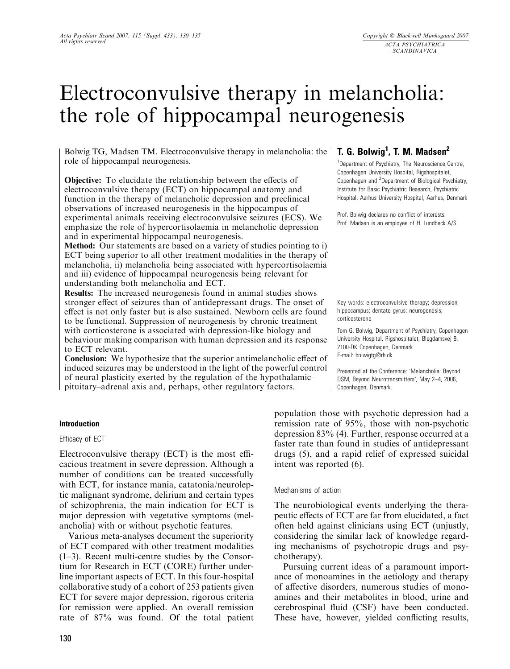# Electroconvulsive therapy in melancholia: the role of hippocampal neurogenesis

Bolwig TG, Madsen TM. Electroconvulsive therapy in melancholia: the role of hippocampal neurogenesis.

Objective: To elucidate the relationship between the effects of electroconvulsive therapy (ECT) on hippocampal anatomy and function in the therapy of melancholic depression and preclinical observations of increased neurogenesis in the hippocampus of experimental animals receiving electroconvulsive seizures (ECS). We emphasize the role of hypercortisolaemia in melancholic depression and in experimental hippocampal neurogenesis.

Method: Our statements are based on a variety of studies pointing to i) ECT being superior to all other treatment modalities in the therapy of melancholia, ii) melancholia being associated with hypercortisolaemia and iii) evidence of hippocampal neurogenesis being relevant for understanding both melancholia and ECT.

Results: The increased neurogenesis found in animal studies shows stronger effect of seizures than of antidepressant drugs. The onset of effect is not only faster but is also sustained. Newborn cells are found to be functional. Suppression of neurogenesis by chronic treatment with corticosterone is associated with depression-like biology and behaviour making comparison with human depression and its response to ECT relevant.

Conclusion: We hypothesize that the superior antimelancholic effect of induced seizures may be understood in the light of the powerful control of neural plasticity exerted by the regulation of the hypothalamic– pituitary–adrenal axis and, perhaps, other regulatory factors.

#### Introduction

#### Efficacy of ECT

Electroconvulsive therapy (ECT) is the most efficacious treatment in severe depression. Although a number of conditions can be treated successfully with ECT, for instance mania, catatonia/neuroleptic malignant syndrome, delirium and certain types of schizophrenia, the main indication for ECT is major depression with vegetative symptoms (melancholia) with or without psychotic features.

Various meta-analyses document the superiority of ECT compared with other treatment modalities (1–3). Recent multi-centre studies by the Consortium for Research in ECT (CORE) further underline important aspects of ECT. In this four-hospital collaborative study of a cohort of 253 patients given ECT for severe major depression, rigorous criteria for remission were applied. An overall remission rate of 87% was found. Of the total patient

# T. G. Bolwig<sup>1</sup>, T. M. Madsen<sup>2</sup>

<sup>1</sup>Department of Psychiatry, The Neuroscience Centre, Copenhagen University Hospital, Rigshospitalet, Copenhagen and <sup>2</sup> Department of Biological Psychiatry, Institute for Basic Psychiatric Research, Psychiatric Hospital, Aarhus University Hospital, Aarhus, Denmark

Prof. Bolwig declares no conflict of interests. Prof. Madsen is an employee of H. Lundbeck A/S.

Key words: electroconvulsive therapy; depression; hippocampus; dentate gyrus; neurogenesis; corticosterone

Tom G. Bolwig, Department of Psychiatry, Copenhagen University Hospital, Rigshospitalet, Blegdamsvej 9, 2100-DK Copenhagen, Denmark. E-mail: bolwigtg@rh.dk

Presented at the Conference: 'Melancholia: Beyond DSM, Beyond Neurotransmitters', May 2-4, 2006. Copenhagen, Denmark.

population those with psychotic depression had a remission rate of 95%, those with non-psychotic depression 83% (4). Further, response occurred at a faster rate than found in studies of antidepressant drugs (5), and a rapid relief of expressed suicidal intent was reported (6).

#### Mechanisms of action

The neurobiological events underlying the therapeutic effects of ECT are far from elucidated, a fact often held against clinicians using ECT (unjustly, considering the similar lack of knowledge regarding mechanisms of psychotropic drugs and psychotherapy).

Pursuing current ideas of a paramount importance of monoamines in the aetiology and therapy of affective disorders, numerous studies of monoamines and their metabolites in blood, urine and cerebrospinal fluid (CSF) have been conducted. These have, however, yielded conflicting results,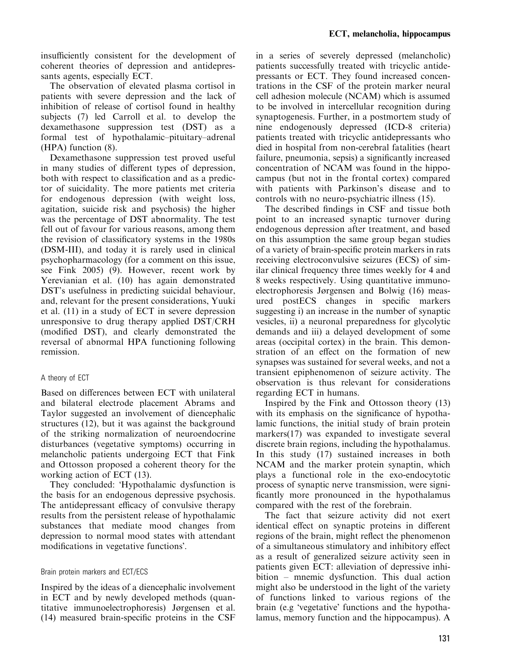insufficiently consistent for the development of coherent theories of depression and antidepressants agents, especially ECT.

The observation of elevated plasma cortisol in patients with severe depression and the lack of inhibition of release of cortisol found in healthy subjects (7) led Carroll et al. to develop the dexamethasone suppression test (DST) as a formal test of hypothalamic–pituitary–adrenal (HPA) function (8).

Dexamethasone suppression test proved useful in many studies of different types of depression, both with respect to classification and as a predictor of suicidality. The more patients met criteria for endogenous depression (with weight loss, agitation, suicide risk and psychosis) the higher was the percentage of DST abnormality. The test fell out of favour for various reasons, among them the revision of classificatory systems in the 1980s (DSM-III), and today it is rarely used in clinical psychopharmacology (for a comment on this issue, see Fink 2005) (9). However, recent work by Yerevianian et al. (10) has again demonstrated DST's usefulness in predicting suicidal behaviour, and, relevant for the present considerations, Yuuki et al. (11) in a study of ECT in severe depression unresponsive to drug therapy applied DST/CRH (modified DST), and clearly demonstrated the reversal of abnormal HPA functioning following remission.

#### A theory of ECT

Based on differences between ECT with unilateral and bilateral electrode placement Abrams and Taylor suggested an involvement of diencephalic structures (12), but it was against the background of the striking normalization of neuroendocrine disturbances (vegetative symptoms) occurring in melancholic patients undergoing ECT that Fink and Ottosson proposed a coherent theory for the working action of ECT (13).

They concluded: 'Hypothalamic dysfunction is the basis for an endogenous depressive psychosis. The antidepressant efficacy of convulsive therapy results from the persistent release of hypothalamic substances that mediate mood changes from depression to normal mood states with attendant modifications in vegetative functions.

#### Brain protein markers and ECT/ECS

Inspired by the ideas of a diencephalic involvement in ECT and by newly developed methods (quantitative immunoelectrophoresis) Jørgensen et al. (14) measured brain-specific proteins in the CSF in a series of severely depressed (melancholic) patients successfully treated with tricyclic antidepressants or ECT. They found increased concentrations in the CSF of the protein marker neural cell adhesion molecule (NCAM) which is assumed to be involved in intercellular recognition during synaptogenesis. Further, in a postmortem study of nine endogenously depressed (ICD-8 criteria) patients treated with tricyclic antidepressants who died in hospital from non-cerebral fatalities (heart failure, pneumonia, sepsis) a significantly increased concentration of NCAM was found in the hippocampus (but not in the frontal cortex) compared with patients with Parkinson's disease and to controls with no neuro-psychiatric illness (15).

The described findings in CSF and tissue both point to an increased synaptic turnover during endogenous depression after treatment, and based on this assumption the same group began studies of a variety of brain-specific protein markers in rats receiving electroconvulsive seizures (ECS) of similar clinical frequency three times weekly for 4 and 8 weeks respectively. Using quantitative immunoelectrophoresis Jørgensen and Bolwig (16) measured postECS changes in specific markers suggesting i) an increase in the number of synaptic vesicles, ii) a neuronal preparedness for glycolytic demands and iii) a delayed development of some areas (occipital cortex) in the brain. This demonstration of an effect on the formation of new synapses was sustained for several weeks, and not a transient epiphenomenon of seizure activity. The observation is thus relevant for considerations regarding ECT in humans.

Inspired by the Fink and Ottosson theory (13) with its emphasis on the significance of hypothalamic functions, the initial study of brain protein markers(17) was expanded to investigate several discrete brain regions, including the hypothalamus. In this study (17) sustained increases in both NCAM and the marker protein synaptin, which plays a functional role in the exo-endocytotic process of synaptic nerve transmission, were significantly more pronounced in the hypothalamus compared with the rest of the forebrain.

The fact that seizure activity did not exert identical effect on synaptic proteins in different regions of the brain, might reflect the phenomenon of a simultaneous stimulatory and inhibitory effect as a result of generalized seizure activity seen in patients given ECT: alleviation of depressive inhibition – mnemic dysfunction. This dual action might also be understood in the light of the variety of functions linked to various regions of the brain (e.g 'vegetative' functions and the hypothalamus, memory function and the hippocampus). A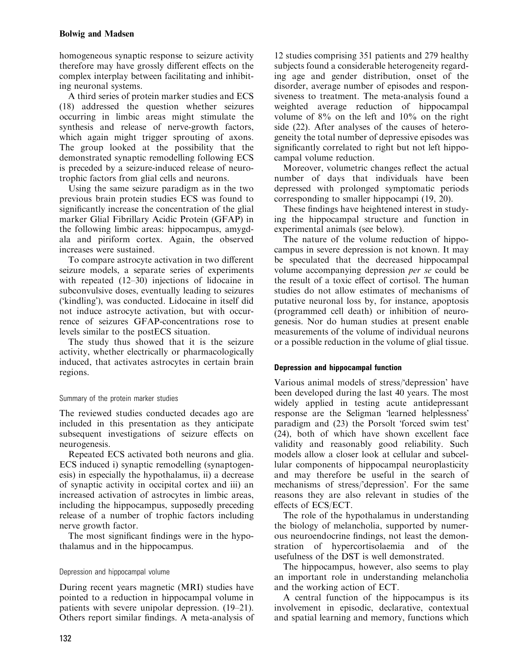homogeneous synaptic response to seizure activity therefore may have grossly different effects on the complex interplay between facilitating and inhibiting neuronal systems.

A third series of protein marker studies and ECS (18) addressed the question whether seizures occurring in limbic areas might stimulate the synthesis and release of nerve-growth factors, which again might trigger sprouting of axons. The group looked at the possibility that the demonstrated synaptic remodelling following ECS is preceded by a seizure-induced release of neurotrophic factors from glial cells and neurons.

Using the same seizure paradigm as in the two previous brain protein studies ECS was found to significantly increase the concentration of the glial marker Glial Fibrillary Acidic Protein (GFAP) in the following limbic areas: hippocampus, amygdala and piriform cortex. Again, the observed increases were sustained.

To compare astrocyte activation in two different seizure models, a separate series of experiments with repeated (12–30) injections of lidocaine in subconvulsive doses, eventually leading to seizures ('kindling'), was conducted. Lidocaine in itself did not induce astrocyte activation, but with occurrence of seizures GFAP-concentrations rose to levels similar to the postECS situation.

The study thus showed that it is the seizure activity, whether electrically or pharmacologically induced, that activates astrocytes in certain brain regions.

### Summary of the protein marker studies

The reviewed studies conducted decades ago are included in this presentation as they anticipate subsequent investigations of seizure effects on neurogenesis.

Repeated ECS activated both neurons and glia. ECS induced i) synaptic remodelling (synaptogenesis) in especially the hypothalamus, ii) a decrease of synaptic activity in occipital cortex and iii) an increased activation of astrocytes in limbic areas, including the hippocampus, supposedly preceding release of a number of trophic factors including nerve growth factor.

The most significant findings were in the hypothalamus and in the hippocampus.

# Depression and hippocampal volume

During recent years magnetic (MRI) studies have pointed to a reduction in hippocampal volume in patients with severe unipolar depression. (19–21). Others report similar findings. A meta-analysis of

12 studies comprising 351 patients and 279 healthy subjects found a considerable heterogeneity regarding age and gender distribution, onset of the disorder, average number of episodes and responsiveness to treatment. The meta-analysis found a weighted average reduction of hippocampal volume of 8% on the left and 10% on the right side (22). After analyses of the causes of heterogeneity the total number of depressive episodes was significantly correlated to right but not left hippocampal volume reduction.

Moreover, volumetric changes reflect the actual number of days that individuals have been depressed with prolonged symptomatic periods corresponding to smaller hippocampi (19, 20).

These findings have heightened interest in studying the hippocampal structure and function in experimental animals (see below).

The nature of the volume reduction of hippocampus in severe depression is not known. It may be speculated that the decreased hippocampal volume accompanying depression per se could be the result of a toxic effect of cortisol. The human studies do not allow estimates of mechanisms of putative neuronal loss by, for instance, apoptosis (programmed cell death) or inhibition of neurogenesis. Nor do human studies at present enable measurements of the volume of individual neurons or a possible reduction in the volume of glial tissue.

# Depression and hippocampal function

Various animal models of stress/'depression' have been developed during the last 40 years. The most widely applied in testing acute antidepressant response are the Seligman 'learned helplessness' paradigm and (23) the Porsolt 'forced swim test' (24), both of which have shown excellent face validity and reasonably good reliability. Such models allow a closer look at cellular and subcellular components of hippocampal neuroplasticity and may therefore be useful in the search of mechanisms of stress/'depression'. For the same reasons they are also relevant in studies of the effects of ECS/ECT.

The role of the hypothalamus in understanding the biology of melancholia, supported by numerous neuroendocrine findings, not least the demonstration of hypercortisolaemia and of the usefulness of the DST is well demonstrated.

The hippocampus, however, also seems to play an important role in understanding melancholia and the working action of ECT.

A central function of the hippocampus is its involvement in episodic, declarative, contextual and spatial learning and memory, functions which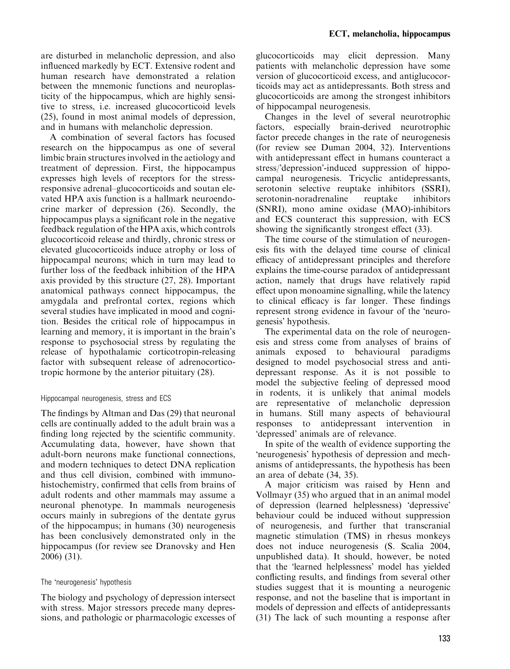are disturbed in melancholic depression, and also influenced markedly by ECT. Extensive rodent and human research have demonstrated a relation between the mnemonic functions and neuroplasticity of the hippocampus, which are highly sensitive to stress, i.e. increased glucocorticoid levels (25), found in most animal models of depression, and in humans with melancholic depression.

A combination of several factors has focused research on the hippocampus as one of several limbic brain structures involved in the aetiology and treatment of depression. First, the hippocampus expresses high levels of receptors for the stressresponsive adrenal–glucocorticoids and soutan elevated HPA axis function is a hallmark neuroendocrine marker of depression (26). Secondly, the hippocampus plays a significant role in the negative feedback regulation of the HPA axis, which controls glucocorticoid release and thirdly, chronic stress or elevated glucocorticoids induce atrophy or loss of hippocampal neurons; which in turn may lead to further loss of the feedback inhibition of the HPA axis provided by this structure (27, 28). Important anatomical pathways connect hippocampus, the amygdala and prefrontal cortex, regions which several studies have implicated in mood and cognition. Besides the critical role of hippocampus in learning and memory, it is important in the brain's response to psychosocial stress by regulating the release of hypothalamic corticotropin-releasing factor with subsequent release of adrenocorticotropic hormone by the anterior pituitary (28).

### Hippocampal neurogenesis, stress and ECS

The findings by Altman and Das (29) that neuronal cells are continually added to the adult brain was a finding long rejected by the scientific community. Accumulating data, however, have shown that adult-born neurons make functional connections, and modern techniques to detect DNA replication and thus cell division, combined with immunohistochemistry, confirmed that cells from brains of adult rodents and other mammals may assume a neuronal phenotype. In mammals neurogenesis occurs mainly in subregions of the dentate gyrus of the hippocampus; in humans (30) neurogenesis has been conclusively demonstrated only in the hippocampus (for review see Dranovsky and Hen 2006) (31).

# The 'neurogenesis' hypothesis

The biology and psychology of depression intersect with stress. Major stressors precede many depressions, and pathologic or pharmacologic excesses of glucocorticoids may elicit depression. Many patients with melancholic depression have some version of glucocorticoid excess, and antiglucocorticoids may act as antidepressants. Both stress and glucocorticoids are among the strongest inhibitors of hippocampal neurogenesis.

Changes in the level of several neurotrophic factors, especially brain-derived neurotrophic factor precede changes in the rate of neurogenesis (for review see Duman 2004, 32). Interventions with antidepressant effect in humans counteract a stress/'depression'-induced suppression of hippocampal neurogenesis. Tricyclic antidepressants, serotonin selective reuptake inhibitors (SSRI), serotonin-noradrenaline reuptake inhibitors (SNRI), mono amine oxidase (MAO)-inhibitors and ECS counteract this suppression, with ECS showing the significantly strongest effect (33).

The time course of the stimulation of neurogenesis fits with the delayed time course of clinical efficacy of antidepressant principles and therefore explains the time-course paradox of antidepressant action, namely that drugs have relatively rapid effect upon monoamine signalling, while the latency to clinical efficacy is far longer. These findings represent strong evidence in favour of the 'neurogenesis' hypothesis.

The experimental data on the role of neurogenesis and stress come from analyses of brains of animals exposed to behavioural paradigms designed to model psychosocial stress and antidepressant response. As it is not possible to model the subjective feeling of depressed mood in rodents, it is unlikely that animal models are representative of melancholic depression in humans. Still many aspects of behavioural responses to antidepressant intervention in 'depressed' animals are of relevance.

In spite of the wealth of evidence supporting the -neurogenesis hypothesis of depression and mechanisms of antidepressants, the hypothesis has been an area of debate (34, 35).

A major criticism was raised by Henn and Vollmayr (35) who argued that in an animal model of depression (learned helplessness) 'depressive' behaviour could be induced without suppression of neurogenesis, and further that transcranial magnetic stimulation (TMS) in rhesus monkeys does not induce neurogenesis (S. Scalia 2004, unpublished data). It should, however, be noted that the 'learned helplessness' model has yielded conflicting results, and findings from several other studies suggest that it is mounting a neurogenic response, and not the baseline that is important in models of depression and effects of antidepressants (31) The lack of such mounting a response after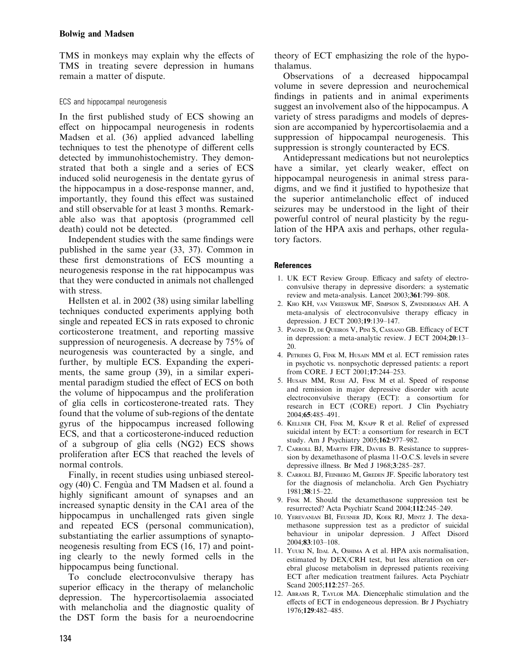TMS in monkeys may explain why the effects of TMS in treating severe depression in humans remain a matter of dispute.

## ECS and hippocampal neurogenesis

In the first published study of ECS showing an effect on hippocampal neurogenesis in rodents Madsen et al. (36) applied advanced labelling techniques to test the phenotype of different cells detected by immunohistochemistry. They demonstrated that both a single and a series of ECS induced solid neurogenesis in the dentate gyrus of the hippocampus in a dose-response manner, and, importantly, they found this effect was sustained and still observable for at least 3 months. Remarkable also was that apoptosis (programmed cell death) could not be detected.

Independent studies with the same findings were published in the same year (33, 37). Common in these first demonstrations of ECS mounting a neurogenesis response in the rat hippocampus was that they were conducted in animals not challenged with stress.

Hellsten et al. in 2002 (38) using similar labelling techniques conducted experiments applying both single and repeated ECS in rats exposed to chronic corticosterone treatment, and reporting massive suppression of neurogenesis. A decrease by 75% of neurogenesis was counteracted by a single, and further, by multiple ECS. Expanding the experiments, the same group (39), in a similar experimental paradigm studied the effect of ECS on both the volume of hippocampus and the proliferation of glia cells in corticosterone-treated rats. They found that the volume of sub-regions of the dentate gyrus of the hippocampus increased following ECS, and that a corticosterone-induced reduction of a subgroup of glia cells (NG2) ECS shows proliferation after ECS that reached the levels of normal controls.

Finally, in recent studies using unbiased stereology (40) C. Fengu`a and TM Madsen et al. found a highly significant amount of synapses and an increased synaptic density in the CA1 area of the hippocampus in unchallenged rats given single and repeated ECS (personal communication), substantiating the earlier assumptions of synaptoneogenesis resulting from ECS (16, 17) and pointing clearly to the newly formed cells in the hippocampus being functional.

To conclude electroconvulsive therapy has superior efficacy in the therapy of melancholic depression. The hypercortisolaemia associated with melancholia and the diagnostic quality of the DST form the basis for a neuroendocrine theory of ECT emphasizing the role of the hypothalamus.

Observations of a decreased hippocampal volume in severe depression and neurochemical findings in patients and in animal experiments suggest an involvement also of the hippocampus. A variety of stress paradigms and models of depression are accompanied by hypercortisolaemia and a suppression of hippocampal neurogenesis. This suppression is strongly counteracted by ECS.

Antidepressant medications but not neuroleptics have a similar, yet clearly weaker, effect on hippocampal neurogenesis in animal stress paradigms, and we find it justified to hypothesize that the superior antimelancholic effect of induced seizures may be understood in the light of their powerful control of neural plasticity by the regulation of the HPA axis and perhaps, other regulatory factors.

# **References**

- 1. UK ECT Review Group. Efficacy and safety of electroconvulsive therapy in depressive disorders: a systematic review and meta-analysis. Lancet 2003;361:799–808.
- 2. Kho KH, van Vreeswijk MF, Simpson S, Zwinderman AH. A meta-analysis of electroconvulsive therapy efficacy in depression. J ECT 2003;19:139–147.
- 3. Pagnin D, de Queiros V, Pini S, Cassano GB. Efficacy of ECT in depression: a meta-analytic review. J ECT 2004;20:13– 20.
- 4. PETRIDES G, FINK M, HUSAIN MM et al. ECT remission rates in psychotic vs. nonpsychotic depressed patients: a report from CORE. J ECT 2001;17:244–253.
- 5. HUSAIN MM, RUSH AJ, FINK M et al. Speed of response and remission in major depressive disorder with acute electroconvulsive therapy (ECT): a consortium for research in ECT (CORE) report. J Clin Psychiatry 2004;65:485–491.
- 6. Kellner CH, Fink M, Knapp R et al. Relief of expressed suicidal intent by ECT: a consortium for research in ECT study. Am J Psychiatry 2005;162:977–982.
- 7. Carroll BJ, Martin FJR, Davies B. Resistance to suppression by dexamethasone of plasma 11-O.C.S. levels in severe depressive illness. Br Med J 1968;3:285–287.
- 8. Carroll BJ, Feinberg M, Greden JF. Specific laboratory test for the diagnosis of melancholia. Arch Gen Psychiatry 1981;38:15–22.
- 9. Fink M. Should the dexamethasone suppression test be resurrected? Acta Psychiatr Scand 2004;112:245–249.
- 10. Yerevanian BI, Feusner JD, Koek RJ, Mintz J. The dexamethasone suppression test as a predictor of suicidal behaviour in unipolar depression. J Affect Disord 2004;83:103–108.
- 11. Yuuki N, Idal A, Oshima A et al. HPA axis normalisation, estimated by DEX/CRH test, but less alteration on cerebral glucose metabolism in depressed patients receiving ECT after medication treatment failures. Acta Psychiatr Scand 2005:**112**:257-265.
- 12. Abrams R, Taylor MA. Diencephalic stimulation and the effects of ECT in endogeneous depression. Br J Psychiatry 1976;129:482–485.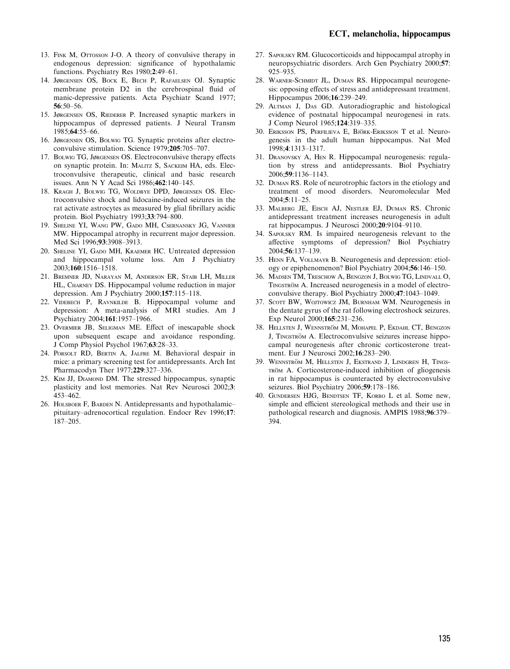- 13. FINK M, OTTOSSON J-O. A theory of convulsive therapy in endogenous depression: significance of hypothalamic functions. Psychiatry Res 1980;2:49–61.
- 14. Jørgensen OS, Bock E, Bech P, Rafaelsen OJ. Synaptic membrane protein D2 in the cerebrospinal fluid of manic-depressive patients. Acta Psychiatr Scand 1977; 56:50–56.
- 15. Jørgensen OS, Riederer P. Increased synaptic markers in hippocampus of depressed patients. J Neural Transm 1985;64:55–66.
- 16. Jørgensen OS, Bolwig TG. Synaptic proteins after electroconvulsive stimulation. Science 1979;205:705–707.
- 17. Bolwig TG, Jørgensen OS. Electroconvulsive therapy effects on synaptic protein. In: Malitz S, Sackeim HA, eds. Electroconvulsive therapeutic, clinical and basic research issues. Ann N Y Acad Sci 1986;462:140–145.
- 18. Kragh J, Bolwig TG, Woldbye DPD, Jørgensen OS. Electroconvulsive shock and lidocaine-induced seizures in the rat activate astrocytes as measured by glial fibrillary acidic protein. Biol Psychiatry 1993;33:794–800.
- 19. Sheline YI, Wang PW, Gado MH, Csernansky JG, Vannier MW. Hippocampal atrophy in recurrent major depression. Med Sci 1996;93:3908–3913.
- 20. Sheline YI, Gado MH, Kraemer HC. Untreated depression and hippocampal volume loss. Am J Psychiatry 2003;160:1516–1518.
- 21. Bremner JD, Narayan M, Anderson ER, Staib LH, Miller HL, Charney DS. Hippocampal volume reduction in major depression. Am J Psychiatry 2000;157:115–118.
- 22. Videbech P, Ravnkilde B. Hippocampal volume and depression: A meta-analysis of MRI studies. Am J Psychiatry 2004;161:1957–1966.
- 23. Overmier JB, Seligman ME. Effect of inescapable shock upon subsequent escape and avoidance responding. J Comp Physiol Psychol 1967;63:28–33.
- 24. Porsolt RD, Bertin A, Jalfre M. Behavioral despair in mice: a primary screening test for antidepressants. Arch Int Pharmacodyn Ther 1977;229:327–336.
- 25. Kim JJ, Diamond DM. The stressed hippocampus, synaptic plasticity and lost memories. Nat Rev Neurosci 2002;3: 453–462.
- 26. HOLSBOER F, BARDEN N. Antidepressants and hypothalamic– pituitary–adrenocortical regulation. Endocr Rev 1996;17: 187–205.
- 27. Sapolsky RM. Glucocorticoids and hippocampal atrophy in neuropsychiatric disorders. Arch Gen Psychiatry 2000;57: 925–935.
- 28. WARNER-SCHMIDT JL, DUMAN RS. Hippocampal neurogenesis: opposing effects of stress and antidepressant treatment. Hippocampus 2006;16:239–249.
- 29. Altman J, Das GD. Autoradiographic and histological evidence of postnatal hippocampal neurogenesi in rats. J Comp Neurol 1965;124:319–335.
- 30. ERIKSSON PS, PERFILIEVA E, BJÖRK-ERIKSSON T et al. Neurogenesis in the adult human hippocampus. Nat Med 1998;4:1313–1317.
- 31. Dranovsky A, Hen R. Hippocampal neurogenesis: regulation by stress and antidepressants. Biol Psychiatry 2006;59:1136–1143.
- 32. Duman RS. Role of neurotrophic factors in the etiology and treatment of mood disorders. Neuromolecular Med 2004;5:11–25.
- 33. Malberg JE, Eisch AJ, Nestler EJ, Duman RS. Chronic antidepressant treatment increases neurogenesis in adult rat hippocampus. J Neurosci 2000;20:9104–9110.
- 34. Sapolsky RM. Is impaired neurogenesis relevant to the affective symptoms of depression? Biol Psychiatry 2004;56:137–139.
- 35. Henn FA, Vollmayr B. Neurogenesis and depression: etiology or epiphenomenon? Biol Psychiatry 2004;56:146–150.
- 36. Madsen TM, Treschow A, Bengzon J, Bolwig TG, Lindvall O, TINGSTRÖM A. Increased neurogenesis in a model of electroconvulsive therapy. Biol Psychiatry 2000;47:1043–1049.
- 37. SCOTT BW, WOJTOWICZ JM, BURNHAM WM. Neurogenesis in the dentate gyrus of the rat following electroshock seizures. Exp Neurol 2000;165:231–236.
- 38. HELLSTEN J, WENNSTRÖM M, MOHAPEL P, EKDAHL CT, BENGZON J, TINGSTRÖM A. Electroconvulsive seizures increase hippocampal neurogenesis after chronic corticosterone treatment. Eur J Neurosci 2002;16:283–290.
- 39. WENNSTRÖM M, HELLSTEN J, EKSTRAND J, LINDGREN H, TINGS-TRÖM A. Corticosterone-induced inhibition of gliogenesis in rat hippocampus is counteracted by electroconvulsive seizures. Biol Psychiatry 2006;59:178–186.
- 40. Gundersen HJG, Bendtsen TF, Korbo L et al. Some new, simple and efficient stereological methods and their use in pathological research and diagnosis. AMPIS 1988;96:379– 394.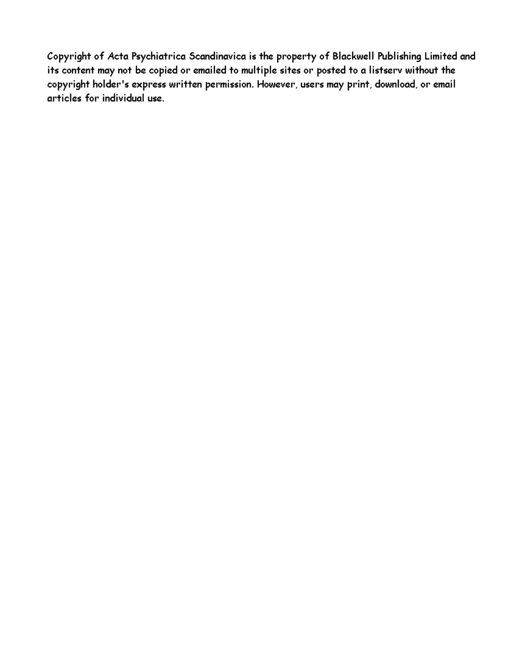Copyright of Acta Psychiatrica Scandinavica is the property of Blackwell Publishing Limited and its content may not be copied or emailed to multiple sites or posted to a listserv without the copyright holder's express written permission. However, users may print, download, or email articles for individual use.